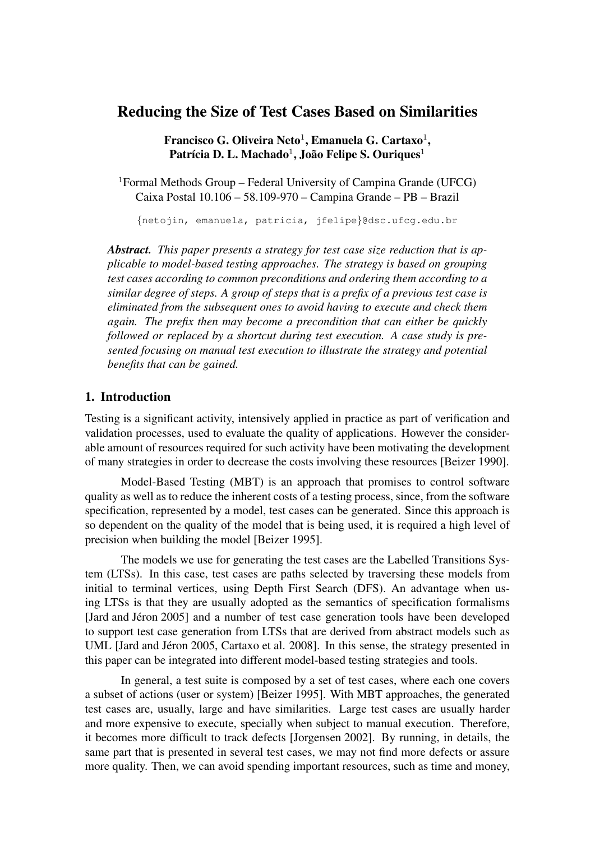# Reducing the Size of Test Cases Based on Similarities

Francisco G. Oliveira Neto $^1$ , Emanuela G. Cartaxo $^1,$ Patrícia D. L. Machado<sup>1</sup>, João Felipe S. Ouriques<sup>1</sup>

<sup>1</sup>Formal Methods Group – Federal University of Campina Grande (UFCG) Caixa Postal 10.106 – 58.109-970 – Campina Grande – PB – Brazil

{netojin, emanuela, patricia, jfelipe}@dsc.ufcg.edu.br

*Abstract. This paper presents a strategy for test case size reduction that is applicable to model-based testing approaches. The strategy is based on grouping test cases according to common preconditions and ordering them according to a similar degree of steps. A group of steps that is a prefix of a previous test case is eliminated from the subsequent ones to avoid having to execute and check them again. The prefix then may become a precondition that can either be quickly followed or replaced by a shortcut during test execution. A case study is presented focusing on manual test execution to illustrate the strategy and potential benefits that can be gained.*

# 1. Introduction

Testing is a significant activity, intensively applied in practice as part of verification and validation processes, used to evaluate the quality of applications. However the considerable amount of resources required for such activity have been motivating the development of many strategies in order to decrease the costs involving these resources [Beizer 1990].

Model-Based Testing (MBT) is an approach that promises to control software quality as well as to reduce the inherent costs of a testing process, since, from the software specification, represented by a model, test cases can be generated. Since this approach is so dependent on the quality of the model that is being used, it is required a high level of precision when building the model [Beizer 1995].

The models we use for generating the test cases are the Labelled Transitions System (LTSs). In this case, test cases are paths selected by traversing these models from initial to terminal vertices, using Depth First Search (DFS). An advantage when using LTSs is that they are usually adopted as the semantics of specification formalisms [Jard and Jéron 2005] and a number of test case generation tools have been developed to support test case generation from LTSs that are derived from abstract models such as UML [Jard and Jéron 2005, Cartaxo et al. 2008]. In this sense, the strategy presented in this paper can be integrated into different model-based testing strategies and tools.

In general, a test suite is composed by a set of test cases, where each one covers a subset of actions (user or system) [Beizer 1995]. With MBT approaches, the generated test cases are, usually, large and have similarities. Large test cases are usually harder and more expensive to execute, specially when subject to manual execution. Therefore, it becomes more difficult to track defects [Jorgensen 2002]. By running, in details, the same part that is presented in several test cases, we may not find more defects or assure more quality. Then, we can avoid spending important resources, such as time and money,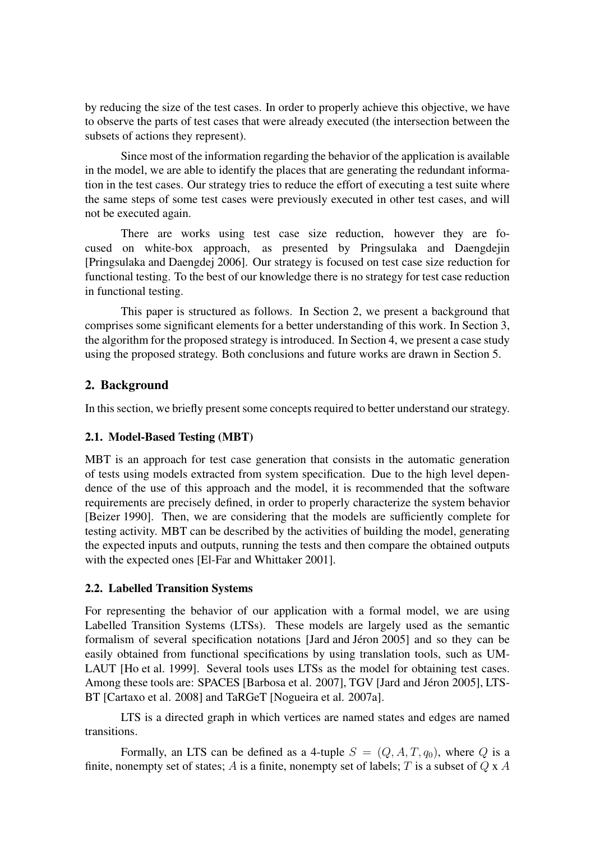by reducing the size of the test cases. In order to properly achieve this objective, we have to observe the parts of test cases that were already executed (the intersection between the subsets of actions they represent).

Since most of the information regarding the behavior of the application is available in the model, we are able to identify the places that are generating the redundant information in the test cases. Our strategy tries to reduce the effort of executing a test suite where the same steps of some test cases were previously executed in other test cases, and will not be executed again.

There are works using test case size reduction, however they are focused on white-box approach, as presented by Pringsulaka and Daengdejin [Pringsulaka and Daengdej 2006]. Our strategy is focused on test case size reduction for functional testing. To the best of our knowledge there is no strategy for test case reduction in functional testing.

This paper is structured as follows. In Section 2, we present a background that comprises some significant elements for a better understanding of this work. In Section 3, the algorithm for the proposed strategy is introduced. In Section 4, we present a case study using the proposed strategy. Both conclusions and future works are drawn in Section 5.

# 2. Background

In this section, we briefly present some concepts required to better understand our strategy.

# 2.1. Model-Based Testing (MBT)

MBT is an approach for test case generation that consists in the automatic generation of tests using models extracted from system specification. Due to the high level dependence of the use of this approach and the model, it is recommended that the software requirements are precisely defined, in order to properly characterize the system behavior [Beizer 1990]. Then, we are considering that the models are sufficiently complete for testing activity. MBT can be described by the activities of building the model, generating the expected inputs and outputs, running the tests and then compare the obtained outputs with the expected ones [El-Far and Whittaker 2001].

# 2.2. Labelled Transition Systems

For representing the behavior of our application with a formal model, we are using Labelled Transition Systems (LTSs). These models are largely used as the semantic formalism of several specification notations [Jard and Jéron 2005] and so they can be easily obtained from functional specifications by using translation tools, such as UM-LAUT [Ho et al. 1999]. Several tools uses LTSs as the model for obtaining test cases. Among these tools are: SPACES [Barbosa et al. 2007], TGV [Jard and Jéron 2005], LTS-BT [Cartaxo et al. 2008] and TaRGeT [Nogueira et al. 2007a].

LTS is a directed graph in which vertices are named states and edges are named transitions.

Formally, an LTS can be defined as a 4-tuple  $S = (Q, A, T, q_0)$ , where Q is a finite, nonempty set of states; A is a finite, nonempty set of labels; T is a subset of  $Q \times A$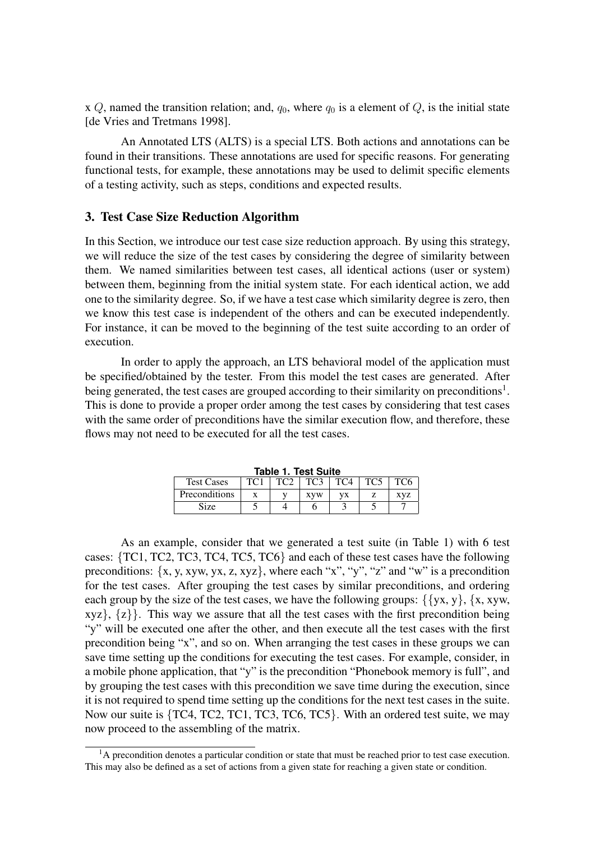x Q, named the transition relation; and,  $q_0$ , where  $q_0$  is a element of Q, is the initial state [de Vries and Tretmans 1998].

An Annotated LTS (ALTS) is a special LTS. Both actions and annotations can be found in their transitions. These annotations are used for specific reasons. For generating functional tests, for example, these annotations may be used to delimit specific elements of a testing activity, such as steps, conditions and expected results.

#### 3. Test Case Size Reduction Algorithm

In this Section, we introduce our test case size reduction approach. By using this strategy, we will reduce the size of the test cases by considering the degree of similarity between them. We named similarities between test cases, all identical actions (user or system) between them, beginning from the initial system state. For each identical action, we add one to the similarity degree. So, if we have a test case which similarity degree is zero, then we know this test case is independent of the others and can be executed independently. For instance, it can be moved to the beginning of the test suite according to an order of execution.

In order to apply the approach, an LTS behavioral model of the application must be specified/obtained by the tester. From this model the test cases are generated. After being generated, the test cases are grouped according to their similarity on preconditions<sup>1</sup>. This is done to provide a proper order among the test cases by considering that test cases with the same order of preconditions have the similar execution flow, and therefore, these flows may not need to be executed for all the test cases.

| Table 1. Test Suite |                 |                 |                 |                 |                 |                 |
|---------------------|-----------------|-----------------|-----------------|-----------------|-----------------|-----------------|
| <b>Test Cases</b>   | TC <sub>1</sub> | TC <sub>2</sub> | TC <sub>3</sub> | TC <sub>4</sub> | TC <sub>5</sub> | TC <sub>6</sub> |
| Preconditions       |                 |                 | <b>XVW</b>      | VX              |                 | XVZ             |
| Size                |                 |                 |                 |                 |                 |                 |

**Table 1. Test Suite**

As an example, consider that we generated a test suite (in Table 1) with 6 test cases: {TC1, TC2, TC3, TC4, TC5, TC6} and each of these test cases have the following preconditions: {x, y, xyw, yx, z, xyz}, where each "x", "y", "z" and "w" is a precondition for the test cases. After grouping the test cases by similar preconditions, and ordering each group by the size of the test cases, we have the following groups:  $\{\{yx, y\}, \{x, xyw,$  $xyz$ ,  $\{z\}$ . This way we assure that all the test cases with the first precondition being "y" will be executed one after the other, and then execute all the test cases with the first precondition being "x", and so on. When arranging the test cases in these groups we can save time setting up the conditions for executing the test cases. For example, consider, in a mobile phone application, that "y" is the precondition "Phonebook memory is full", and by grouping the test cases with this precondition we save time during the execution, since it is not required to spend time setting up the conditions for the next test cases in the suite. Now our suite is {TC4, TC2, TC1, TC3, TC6, TC5}. With an ordered test suite, we may now proceed to the assembling of the matrix.

<sup>&</sup>lt;sup>1</sup>A precondition denotes a particular condition or state that must be reached prior to test case execution. This may also be defined as a set of actions from a given state for reaching a given state or condition.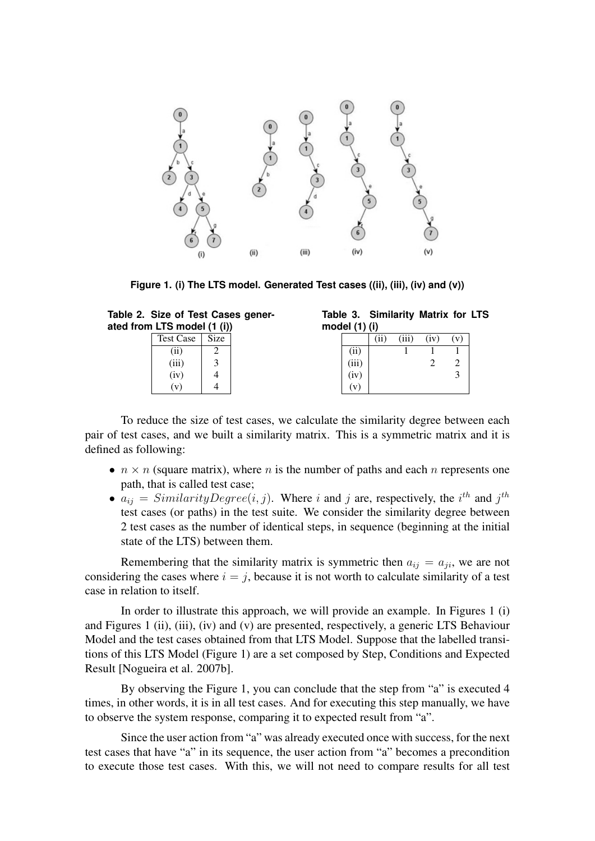

**Figure 1. (i) The LTS model. Generated Test cases ((ii), (iii), (iv) and (v))**

| Table 2. Size of Test Cases gener- |  |  |
|------------------------------------|--|--|
| ated from LTS model (1 (i))        |  |  |

| Test Case | Size |
|-----------|------|
| (i)       |      |
| (iii)     | 3    |
| (iv)      | 4    |
|           |      |

|               | Table 3. Similarity Matrix for LTS |  |  |
|---------------|------------------------------------|--|--|
| model (1) (i) |                                    |  |  |

| .                                                                                                          |      |       |      |     |
|------------------------------------------------------------------------------------------------------------|------|-------|------|-----|
|                                                                                                            | (ii) | (iii) | (iv) | (v) |
|                                                                                                            |      |       |      |     |
|                                                                                                            |      |       |      |     |
| $\begin{array}{c} \overline{\textbf{(ii)}} \\ \textbf{(iii)} \\ \textbf{(iv)} \\ \textbf{(v)} \end{array}$ |      |       |      |     |
|                                                                                                            |      |       |      |     |

To reduce the size of test cases, we calculate the similarity degree between each pair of test cases, and we built a similarity matrix. This is a symmetric matrix and it is defined as following:

- $n \times n$  (square matrix), where n is the number of paths and each n represents one path, that is called test case;
- $a_{ij} = SimilarityDegree(i, j)$ . Where i and j are, respectively, the i<sup>th</sup> and j<sup>th</sup> test cases (or paths) in the test suite. We consider the similarity degree between 2 test cases as the number of identical steps, in sequence (beginning at the initial state of the LTS) between them.

Remembering that the similarity matrix is symmetric then  $a_{ij} = a_{ji}$ , we are not considering the cases where  $i = j$ , because it is not worth to calculate similarity of a test case in relation to itself.

In order to illustrate this approach, we will provide an example. In Figures 1 (i) and Figures 1 (ii), (iii), (iv) and (v) are presented, respectively, a generic LTS Behaviour Model and the test cases obtained from that LTS Model. Suppose that the labelled transitions of this LTS Model (Figure 1) are a set composed by Step, Conditions and Expected Result [Nogueira et al. 2007b].

By observing the Figure 1, you can conclude that the step from "a" is executed 4 times, in other words, it is in all test cases. And for executing this step manually, we have to observe the system response, comparing it to expected result from "a".

Since the user action from "a" was already executed once with success, for the next test cases that have "a" in its sequence, the user action from "a" becomes a precondition to execute those test cases. With this, we will not need to compare results for all test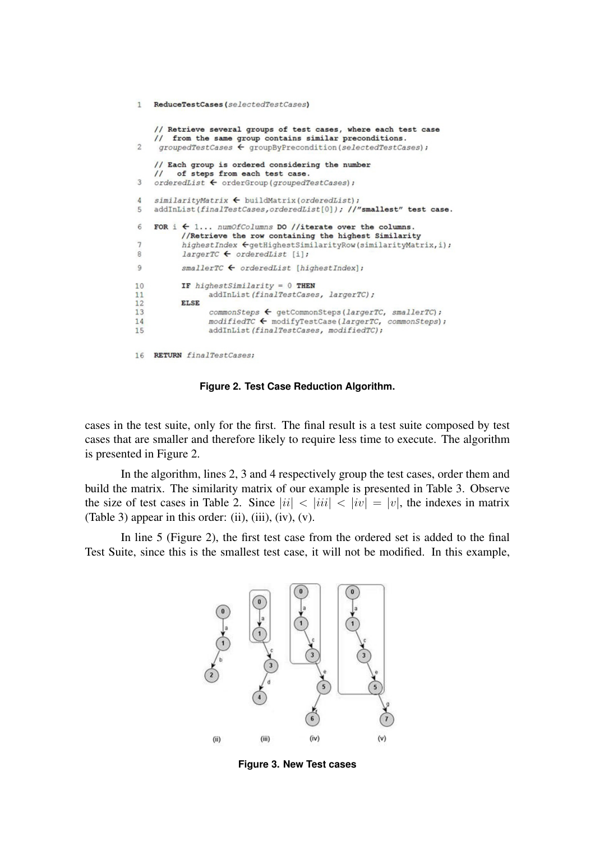```
1 ReduceTestCases(selectedTestCases)
     // Retrieve several groups of test cases, where each test case
     // from the same group contains similar preconditions.
\overline{2}groupedTestCases \leftarrow groupByPrecondition(s electedTestCases);
     // Each group is ordered considering the number
          of steps from each test case.
     \primeorderedList \leftarrow orderGroup(groupedTestCases))3
    similarityMatrix \leftarrow \text{buildMatrix}(orderedList);\DeltaaddInList(finalTestCases,orderedList[0]); //"smallest" test case.
5
6
     FOR i \leftarrow 1... numOfColumns DO //iterate over the columns.
            //Retrieve the row containing the highest Similarity
\overline{1}higher order \textit{Cyc} \leftarrow \textit{getHigherSimilarityRow} (\textit{similarityMatrix}, \texttt{i}) \textit{?}8
            largerTC \leftarrow orderedList[i];\overline{9}\textit{smallerrC} \ \textcolor{red}{\bigarrow} \ \textit{orderedList} \ \ \texttt{[higherIndex]} \, \textit{;}10IF highestSimilarity = 0 THEN
11addInList(finalTestCases, largerTC);
            ELSE
12commonSteps ← getCommonSteps(largerTC, smallerTC);
1314\textit{modifiedTC} \leftarrow \textit{modifyTestCase} \left(\textit{largerTC, commonSteps}\right);15
                    addInList(finalTestCases, modifiedTC);
16 RETURN finalTestCases;
```
**Figure 2. Test Case Reduction Algorithm.**

cases in the test suite, only for the first. The final result is a test suite composed by test cases that are smaller and therefore likely to require less time to execute. The algorithm is presented in Figure 2.

In the algorithm, lines 2, 3 and 4 respectively group the test cases, order them and build the matrix. The similarity matrix of our example is presented in Table 3. Observe the size of test cases in Table 2. Since  $|ii| < |iii| < |iv| = |v|$ , the indexes in matrix (Table 3) appear in this order: (ii), (iii), (iv), (v).

In line 5 (Figure 2), the first test case from the ordered set is added to the final Test Suite, since this is the smallest test case, it will not be modified. In this example,



**Figure 3. New Test cases**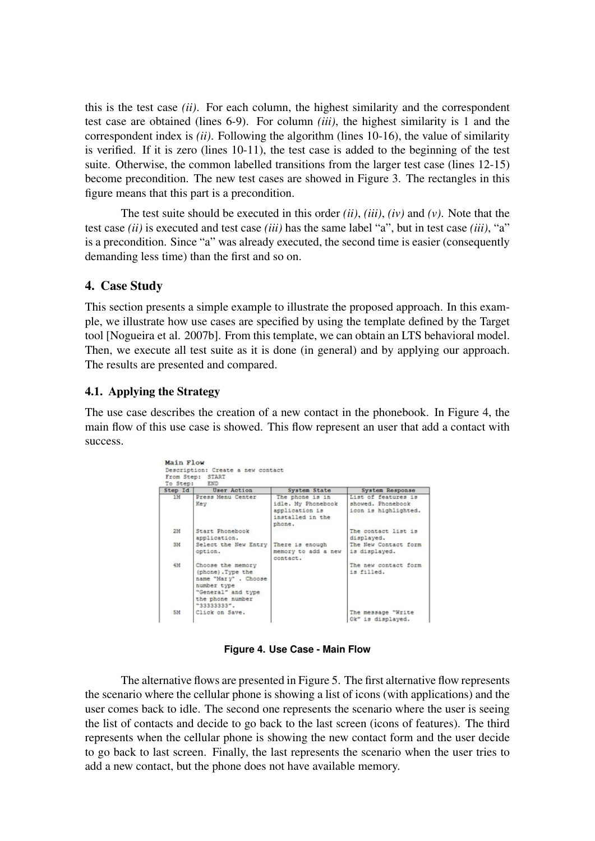this is the test case *(ii)*. For each column, the highest similarity and the correspondent test case are obtained (lines 6-9). For column *(iii)*, the highest similarity is 1 and the correspondent index is *(ii)*. Following the algorithm (lines 10-16), the value of similarity is verified. If it is zero (lines 10-11), the test case is added to the beginning of the test suite. Otherwise, the common labelled transitions from the larger test case (lines 12-15) become precondition. The new test cases are showed in Figure 3. The rectangles in this figure means that this part is a precondition.

The test suite should be executed in this order *(ii)*, *(iii)*, *(iv)* and *(v)*. Note that the test case *(ii)* is executed and test case *(iii)* has the same label "a", but in test case *(iii)*, "a" is a precondition. Since "a" was already executed, the second time is easier (consequently demanding less time) than the first and so on.

# 4. Case Study

This section presents a simple example to illustrate the proposed approach. In this example, we illustrate how use cases are specified by using the template defined by the Target tool [Nogueira et al. 2007b]. From this template, we can obtain an LTS behavioral model. Then, we execute all test suite as it is done (in general) and by applying our approach. The results are presented and compared.

# 4.1. Applying the Strategy

The use case describes the creation of a new contact in the phonebook. In Figure 4, the main flow of this use case is showed. This flow represent an user that add a contact with success.

| Step Id | <b>User Action</b>                                                                                                                     | System State                                                                          | System Response                                                  |
|---------|----------------------------------------------------------------------------------------------------------------------------------------|---------------------------------------------------------------------------------------|------------------------------------------------------------------|
| 1M      | Press Menu Center<br>Key                                                                                                               | The phone is in<br>idle. My Phonebook<br>application is<br>installed in the<br>phone. | List of features is<br>showed, Phonebook<br>icon is highlighted. |
| 2M      | Start Phonebook<br>application.                                                                                                        |                                                                                       | The contact list is<br>displayed.                                |
| 3M      | Select the New Entry<br>option.                                                                                                        | There is enough<br>memory to add a new<br>contact.                                    | The New Contact form<br>is displayed.                            |
| 4M      | Choose the memory<br>(phone). Type the<br>name "Mary" . Choose<br>number type<br>"General" and type<br>the phone number<br>"33333333". |                                                                                       | The new contact form<br>is filled.                               |
| 5M      | Click on Save.                                                                                                                         |                                                                                       | The message "Write<br>Ok" is displayed.                          |

**Figure 4. Use Case - Main Flow**

The alternative flows are presented in Figure 5. The first alternative flow represents the scenario where the cellular phone is showing a list of icons (with applications) and the user comes back to idle. The second one represents the scenario where the user is seeing the list of contacts and decide to go back to the last screen (icons of features). The third represents when the cellular phone is showing the new contact form and the user decide to go back to last screen. Finally, the last represents the scenario when the user tries to add a new contact, but the phone does not have available memory.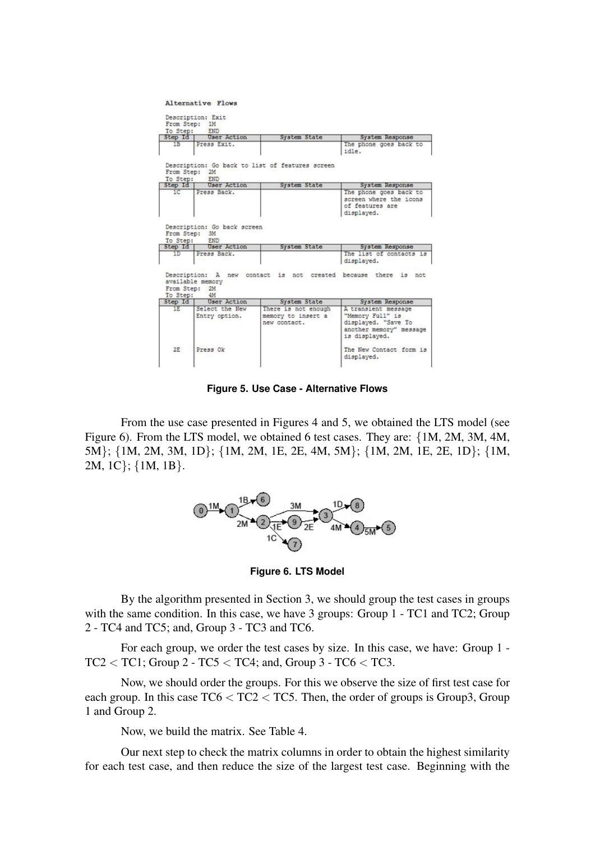Alternative Flows

|                                            | To Step: END                          |                                                                |                                                                                     |
|--------------------------------------------|---------------------------------------|----------------------------------------------------------------|-------------------------------------------------------------------------------------|
|                                            | Step Id   User Action                 | System State                                                   | System Response                                                                     |
| 1B                                         | Press Exit.                           |                                                                | The phone goes back to<br>idle.                                                     |
| From Step: 2M                              | To Step: END                          | Description: Go back to list of features screen                |                                                                                     |
| Step Id                                    | User Action                           | System State                                                   | System Response                                                                     |
| 1 <sup>c</sup>                             | Press Back.                           |                                                                | The phone goes back to<br>screen where the icons<br>of features are<br>displayed.   |
|                                            | To Step: END<br>Step Id   User Action | System State                                                   | System Response                                                                     |
|                                            |                                       |                                                                |                                                                                     |
| 1D                                         | Press Back.                           |                                                                | The list of contacts is<br>displayed.                                               |
|                                            | available memory<br>4M                | Description: A new contact is not created because there is not |                                                                                     |
|                                            | <b>User Action</b>                    | System State                                                   | System Response                                                                     |
| From Step: 2M<br>To Step:<br>Step Id<br>1E | Select the New                        | There is not enough                                            | A transient message                                                                 |
|                                            | Entry option.                         | memory to insert a<br>new contact.                             | "Memory Full" is<br>displayed. "Save To<br>another memory" message<br>is displayed. |

**Figure 5. Use Case - Alternative Flows**

From the use case presented in Figures 4 and 5, we obtained the LTS model (see Figure 6). From the LTS model, we obtained 6 test cases. They are: {1M, 2M, 3M, 4M, 5M}; {1M, 2M, 3M, 1D}; {1M, 2M, 1E, 2E, 4M, 5M}; {1M, 2M, 1E, 2E, 1D}; {1M, 2M, 1C}; {1M, 1B}.



**Figure 6. LTS Model**

By the algorithm presented in Section 3, we should group the test cases in groups with the same condition. In this case, we have 3 groups: Group 1 - TC1 and TC2; Group 2 - TC4 and TC5; and, Group 3 - TC3 and TC6.

For each group, we order the test cases by size. In this case, we have: Group 1 -  $TC2 < TC1$ ; Group 2 -  $TC5 < TC4$ ; and, Group 3 -  $TC6 < TC3$ .

Now, we should order the groups. For this we observe the size of first test case for each group. In this case  $TC6 < TC2 < TC5$ . Then, the order of groups is Group3, Group 1 and Group 2.

Now, we build the matrix. See Table 4.

Our next step to check the matrix columns in order to obtain the highest similarity for each test case, and then reduce the size of the largest test case. Beginning with the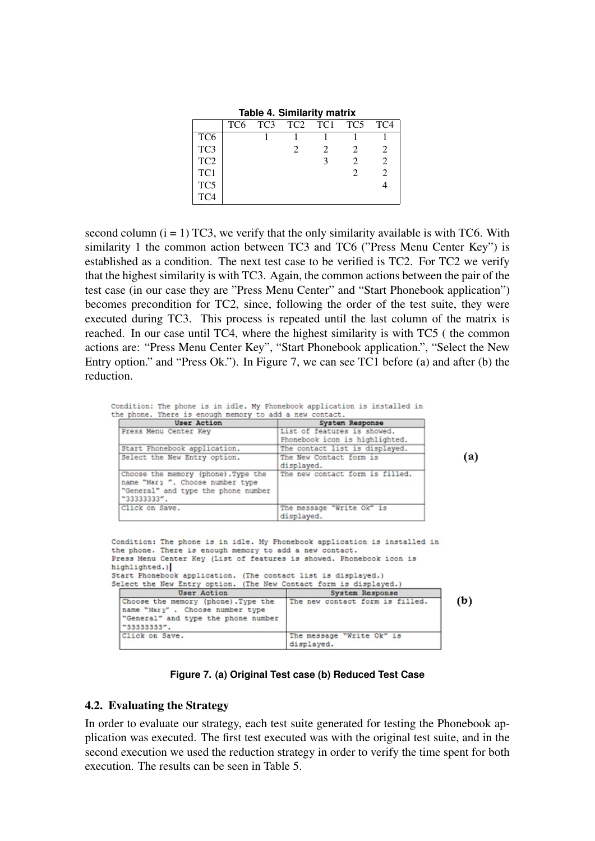**Table 4. Similarity matrix**

|                 | TC6 | TC <sub>3</sub> | TC <sub>2</sub> | TC1 | TC5 | TC <sub>4</sub> |
|-----------------|-----|-----------------|-----------------|-----|-----|-----------------|
| TC <sub>6</sub> |     |                 |                 |     |     |                 |
| TC <sub>3</sub> |     |                 |                 |     |     |                 |
| TC <sub>2</sub> |     |                 |                 |     |     |                 |
| TC1             |     |                 |                 |     |     |                 |
| TC <sub>5</sub> |     |                 |                 |     |     |                 |
| TC <sub>4</sub> |     |                 |                 |     |     |                 |

second column  $(i = 1)$  TC3, we verify that the only similarity available is with TC6. With similarity 1 the common action between TC3 and TC6 ("Press Menu Center Key") is established as a condition. The next test case to be verified is TC2. For TC2 we verify that the highest similarity is with TC3. Again, the common actions between the pair of the test case (in our case they are "Press Menu Center" and "Start Phonebook application") becomes precondition for TC2, since, following the order of the test suite, they were executed during TC3. This process is repeated until the last column of the matrix is reached. In our case until TC4, where the highest similarity is with TC5 ( the common actions are: "Press Menu Center Key", "Start Phonebook application.", "Select the New Entry option." and "Press Ok."). In Figure 7, we can see TC1 before (a) and after (b) the reduction.

Condition: The phone is in idle. My Phonebook application is installed in the phone. There is enough memory to add a new contact.

| <b>User Action</b>                                                                                                            | System Response                                               |
|-------------------------------------------------------------------------------------------------------------------------------|---------------------------------------------------------------|
| Press Menu Center Key                                                                                                         | List of features is showed.<br>Phonebook icon is highlighted. |
| Start Phonebook application.                                                                                                  | The contact list is displayed.                                |
| Select the New Entry option.                                                                                                  | The New Contact form is<br>displayed.                         |
| Choose the memory (phone). Type the<br>name "Mary ". Choose number type<br>"General" and type the phone number<br>"33333333". | The new contact form is filled.                               |
| Click on Save.                                                                                                                | The message "Write Ok" is<br>displayed.                       |

 $(a)$ 

| Condition: The phone is in idle. My Phonebook application is installed in<br>the phone. There is enough memory to add a new contact.<br>Press Menu Center Key (List of features is showed. Phonebook icon is |                                 |     |
|--------------------------------------------------------------------------------------------------------------------------------------------------------------------------------------------------------------|---------------------------------|-----|
| highlighted.)                                                                                                                                                                                                |                                 |     |
| Start Phonebook application. (The contact list is displayed.)                                                                                                                                                |                                 |     |
| Select the New Entry option. (The New Contact form is displayed.)                                                                                                                                            |                                 |     |
| User Action                                                                                                                                                                                                  | System Response                 |     |
|                                                                                                                                                                                                              |                                 |     |
| Choose the memory (phone). Type the                                                                                                                                                                          | The new contact form is filled. |     |
| name "Mary". Choose number type                                                                                                                                                                              |                                 | (b) |
| "General" and type the phone number                                                                                                                                                                          |                                 |     |
| "33333333".                                                                                                                                                                                                  |                                 |     |

**Figure 7. (a) Original Test case (b) Reduced Test Case**

### 4.2. Evaluating the Strategy

In order to evaluate our strategy, each test suite generated for testing the Phonebook application was executed. The first test executed was with the original test suite, and in the second execution we used the reduction strategy in order to verify the time spent for both execution. The results can be seen in Table 5.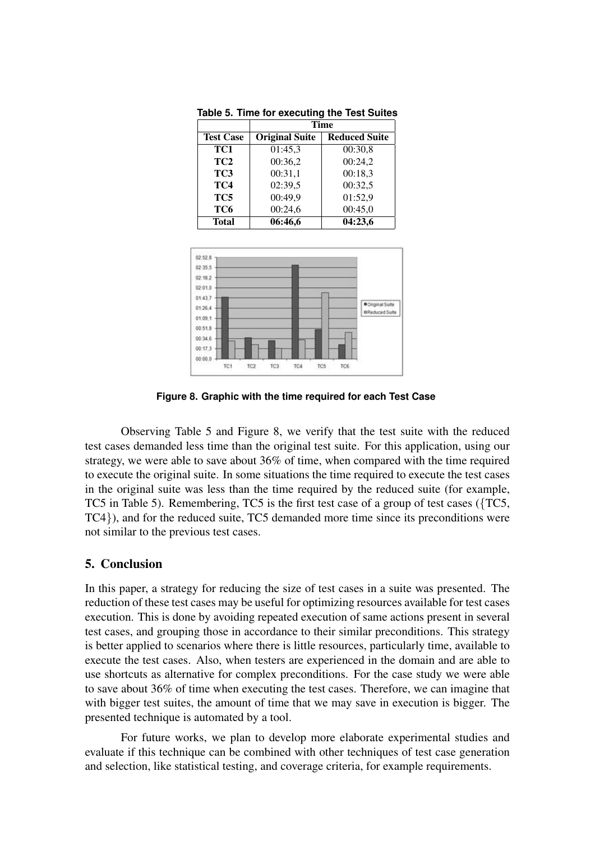|                  | Time                  |                      |
|------------------|-----------------------|----------------------|
| <b>Test Case</b> | <b>Original Suite</b> | <b>Reduced Suite</b> |
| TC1              | 01:45,3               | 00:30,8              |
| TC <sub>2</sub>  | 00:36,2               | 00:24,2              |
| TC <sub>3</sub>  | 00:31,1               | 00:18,3              |
| TC4              | 02:39,5               | 00:32,5              |
| TC5              | 00:49,9               | 01:52,9              |
| TC <sub>6</sub>  | 00:24,6               | 00:45,0              |
| <b>Total</b>     | 06:46,6               | 04:23,6              |

**Table 5. Time for executing the Test Suites**



**Figure 8. Graphic with the time required for each Test Case**

Observing Table 5 and Figure 8, we verify that the test suite with the reduced test cases demanded less time than the original test suite. For this application, using our strategy, we were able to save about 36% of time, when compared with the time required to execute the original suite. In some situations the time required to execute the test cases in the original suite was less than the time required by the reduced suite (for example, TC5 in Table 5). Remembering, TC5 is the first test case of a group of test cases ({TC5, TC4}), and for the reduced suite, TC5 demanded more time since its preconditions were not similar to the previous test cases.

### 5. Conclusion

In this paper, a strategy for reducing the size of test cases in a suite was presented. The reduction of these test cases may be useful for optimizing resources available for test cases execution. This is done by avoiding repeated execution of same actions present in several test cases, and grouping those in accordance to their similar preconditions. This strategy is better applied to scenarios where there is little resources, particularly time, available to execute the test cases. Also, when testers are experienced in the domain and are able to use shortcuts as alternative for complex preconditions. For the case study we were able to save about 36% of time when executing the test cases. Therefore, we can imagine that with bigger test suites, the amount of time that we may save in execution is bigger. The presented technique is automated by a tool.

For future works, we plan to develop more elaborate experimental studies and evaluate if this technique can be combined with other techniques of test case generation and selection, like statistical testing, and coverage criteria, for example requirements.